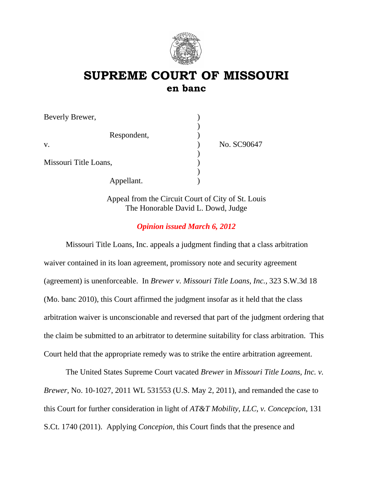

# **SUPREME COURT OF MISSOURI en banc**

| Beverly Brewer,       |             |
|-----------------------|-------------|
| Respondent,           |             |
| V.                    | No. SC90647 |
|                       |             |
| Missouri Title Loans, |             |
|                       |             |
| Appellant.            |             |

Appeal from the Circuit Court of City of St. Louis The Honorable David L. Dowd, Judge

# *Opinion issued March 6, 2012*

Missouri Title Loans, Inc. appeals a judgment finding that a class arbitration waiver contained in its loan agreement, promissory note and security agreement (agreement) is unenforceable. In *Brewer v. Missouri Title Loans, Inc.,* 323 S.W.3d 18 (Mo. banc 2010), this Court affirmed the judgment insofar as it held that the class arbitration waiver is unconscionable and reversed that part of the judgment ordering that the claim be submitted to an arbitrator to determine suitability for class arbitration. This Court held that the appropriate remedy was to strike the entire arbitration agreement.

The United States Supreme Court vacated *Brewer* in *Missouri Title Loans, Inc. v. Brewer,* No. 10-1027, 2011 WL 531553 (U.S. May 2, 2011), and remanded the case to this Court for further consideration in light of *AT&T Mobility, LLC, v. Concepcion*, 131 S.Ct. 1740 (2011). Applying *Concepion*, this Court finds that the presence and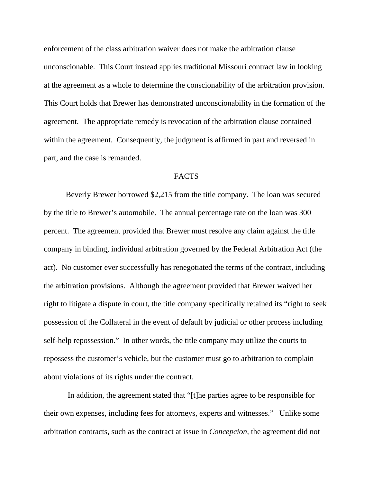enforcement of the class arbitration waiver does not make the arbitration clause unconscionable. This Court instead applies traditional Missouri contract law in looking at the agreement as a whole to determine the conscionability of the arbitration provision. This Court holds that Brewer has demonstrated unconscionability in the formation of the agreement. The appropriate remedy is revocation of the arbitration clause contained within the agreement. Consequently, the judgment is affirmed in part and reversed in part, and the case is remanded.

#### **FACTS**

Beverly Brewer borrowed \$2,215 from the title company. The loan was secured by the title to Brewer's automobile. The annual percentage rate on the loan was 300 percent. The agreement provided that Brewer must resolve any claim against the title company in binding, individual arbitration governed by the Federal Arbitration Act (the act). No customer ever successfully has renegotiated the terms of the contract, including the arbitration provisions. Although the agreement provided that Brewer waived her right to litigate a dispute in court, the title company specifically retained its "right to seek possession of the Collateral in the event of default by judicial or other process including self-help repossession." In other words, the title company may utilize the courts to repossess the customer's vehicle, but the customer must go to arbitration to complain about violations of its rights under the contract.

 In addition, the agreement stated that "[t]he parties agree to be responsible for their own expenses, including fees for attorneys, experts and witnesses." Unlike some arbitration contracts, such as the contract at issue in *Concepcion,* the agreement did not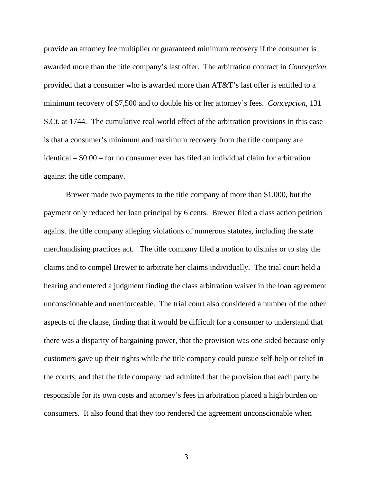provide an attorney fee multiplier or guaranteed minimum recovery if the consumer is awarded more than the title company's last offer. The arbitration contract in *Concepcion*  provided that a consumer who is awarded more than AT&T's last offer is entitled to a minimum recovery of \$7,500 and to double his or her attorney's fees. *Concepcion,* 131 S.Ct. at 1744*.* The cumulative real-world effect of the arbitration provisions in this case is that a consumer's minimum and maximum recovery from the title company are identical – \$0.00 – for no consumer ever has filed an individual claim for arbitration against the title company.

Brewer made two payments to the title company of more than \$1,000, but the payment only reduced her loan principal by 6 cents. Brewer filed a class action petition against the title company alleging violations of numerous statutes, including the state merchandising practices act. The title company filed a motion to dismiss or to stay the claims and to compel Brewer to arbitrate her claims individually. The trial court held a hearing and entered a judgment finding the class arbitration waiver in the loan agreement unconscionable and unenforceable. The trial court also considered a number of the other aspects of the clause, finding that it would be difficult for a consumer to understand that there was a disparity of bargaining power, that the provision was one-sided because only customers gave up their rights while the title company could pursue self-help or relief in the courts, and that the title company had admitted that the provision that each party be responsible for its own costs and attorney's fees in arbitration placed a high burden on consumers. It also found that they too rendered the agreement unconscionable when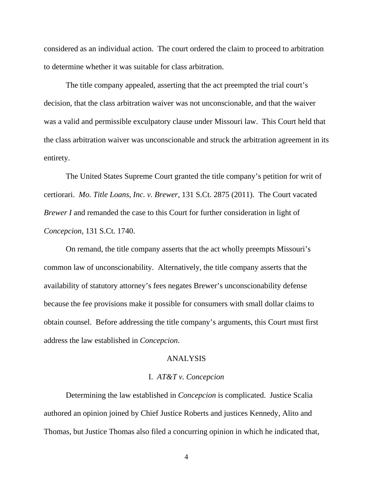considered as an individual action. The court ordered the claim to proceed to arbitration to determine whether it was suitable for class arbitration.

The title company appealed, asserting that the act preempted the trial court's decision, that the class arbitration waiver was not unconscionable, and that the waiver was a valid and permissible exculpatory clause under Missouri law. This Court held that the class arbitration waiver was unconscionable and struck the arbitration agreement in its entirety.

 The United States Supreme Court granted the title company's petition for writ of certiorari. *Mo. Title Loans, Inc. v. Brewer,* 131 S.Ct. 2875 (2011). The Court vacated *Brewer I* and remanded the case to this Court for further consideration in light of *Concepcion,* 131 S.Ct. 1740.

 On remand, the title company asserts that the act wholly preempts Missouri's common law of unconscionability. Alternatively, the title company asserts that the availability of statutory attorney's fees negates Brewer's unconscionability defense because the fee provisions make it possible for consumers with small dollar claims to obtain counsel. Before addressing the title company's arguments, this Court must first address the law established in *Concepcion*.

### ANALYSIS

### I. *AT&T v. Concepcion*

Determining the law established in *Concepcion* is complicated. Justice Scalia authored an opinion joined by Chief Justice Roberts and justices Kennedy, Alito and Thomas, but Justice Thomas also filed a concurring opinion in which he indicated that,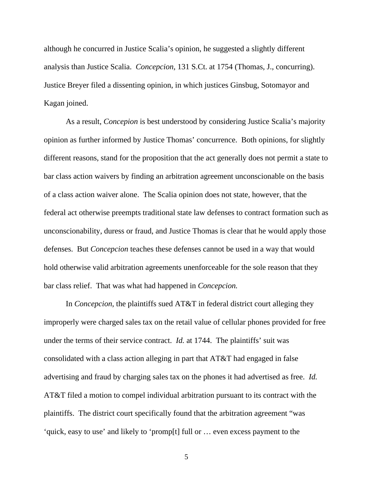although he concurred in Justice Scalia's opinion, he suggested a slightly different analysis than Justice Scalia. *Concepcion,* 131 S.Ct. at 1754 (Thomas, J., concurring). Justice Breyer filed a dissenting opinion, in which justices Ginsbug, Sotomayor and Kagan joined.

As a result, *Concepion* is best understood by considering Justice Scalia's majority opinion as further informed by Justice Thomas' concurrence. Both opinions, for slightly different reasons, stand for the proposition that the act generally does not permit a state to bar class action waivers by finding an arbitration agreement unconscionable on the basis of a class action waiver alone. The Scalia opinion does not state, however, that the federal act otherwise preempts traditional state law defenses to contract formation such as unconscionability, duress or fraud, and Justice Thomas is clear that he would apply those defenses. But *Concepcion* teaches these defenses cannot be used in a way that would hold otherwise valid arbitration agreements unenforceable for the sole reason that they bar class relief. That was what had happened in *Concepcion.*

In *Concepcion*, the plaintiffs sued AT&T in federal district court alleging they improperly were charged sales tax on the retail value of cellular phones provided for free under the terms of their service contract. *Id.* at 1744. The plaintiffs' suit was consolidated with a class action alleging in part that AT&T had engaged in false advertising and fraud by charging sales tax on the phones it had advertised as free. *Id.*  AT&T filed a motion to compel individual arbitration pursuant to its contract with the plaintiffs. The district court specifically found that the arbitration agreement "was 'quick, easy to use' and likely to 'promp[t] full or … even excess payment to the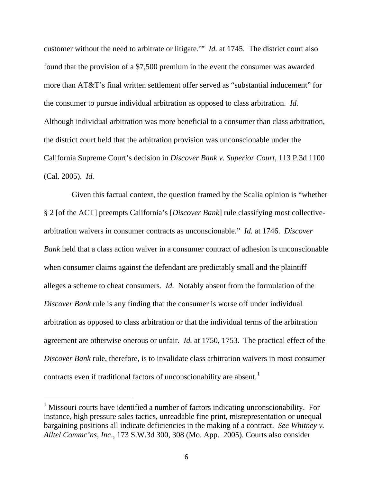customer without the need to arbitrate or litigate.'" *Id.* at 1745. The district court also found that the provision of a \$7,500 premium in the event the consumer was awarded more than AT&T's final written settlement offer served as "substantial inducement" for the consumer to pursue individual arbitration as opposed to class arbitration. *Id.*  Although individual arbitration was more beneficial to a consumer than class arbitration, the district court held that the arbitration provision was unconscionable under the California Supreme Court's decision in *Discover Bank v. Superior Court,* 113 P.3d 1100 (Cal. 2005). *Id.* 

Given this factual context, the question framed by the Scalia opinion is "whether" § 2 [of the ACT] preempts California's [*Discover Bank*] rule classifying most collectivearbitration waivers in consumer contracts as unconscionable." *Id.* at 1746. *Discover Bank* held that a class action waiver in a consumer contract of adhesion is unconscionable when consumer claims against the defendant are predictably small and the plaintiff alleges a scheme to cheat consumers. *Id.* Notably absent from the formulation of the *Discover Bank* rule is any finding that the consumer is worse off under individual arbitration as opposed to class arbitration or that the individual terms of the arbitration agreement are otherwise onerous or unfair. *Id.* at 1750, 1753. The practical effect of the *Discover Bank* rule, therefore, is to invalidate class arbitration waivers in most consumer contracts even if traditional factors of unconscionability are absent.<sup>[1](#page-5-0)</sup>

<span id="page-5-0"></span><sup>&</sup>lt;sup>1</sup> Missouri courts have identified a number of factors indicating unconscionability. For instance, high pressure sales tactics, unreadable fine print, misrepresentation or unequal bargaining positions all indicate deficiencies in the making of a contract. *See Whitney v. Alltel Commc'ns, Inc*., 173 S.W.3d 300, 308 (Mo. App. 2005). Courts also consider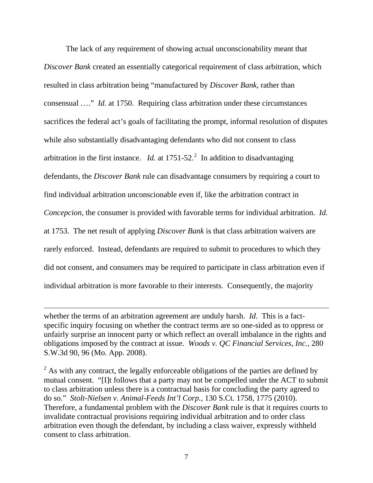The lack of any requirement of showing actual unconscionability meant that *Discover Bank* created an essentially categorical requirement of class arbitration, which resulted in class arbitration being "manufactured by *Discover Bank*, rather than consensual …." *Id.* at 1750. Requiring class arbitration under these circumstances sacrifices the federal act's goals of facilitating the prompt, informal resolution of disputes while also substantially disadvantaging defendants who did not consent to class arbitration in the first instance. *Id.* at  $1751-52$  $1751-52$ .<sup>2</sup> In addition to disadvantaging defendants, the *Discover Bank* rule can disadvantage consumers by requiring a court to find individual arbitration unconscionable even if, like the arbitration contract in *Concepcion,* the consumer is provided with favorable terms for individual arbitration. *Id.*  at 1753. The net result of applying *Discover Bank* is that class arbitration waivers are rarely enforced. Instead, defendants are required to submit to procedures to which they did not consent, and consumers may be required to participate in class arbitration even if individual arbitration is more favorable to their interests. Consequently, the majority

whether the terms of an arbitration agreement are unduly harsh. *Id*. This is a factspecific inquiry focusing on whether the contract terms are so one-sided as to oppress or unfairly surprise an innocent party or which reflect an overall imbalance in the rights and obligations imposed by the contract at issue. *Woods v. QC Financial Services, Inc.,* 280 S.W.3d 90, 96 (Mo. App. 2008).

<span id="page-6-0"></span> $2^{2}$  As with any contract, the legally enforceable obligations of the parties are defined by mutual consent. "[I]t follows that a party may not be compelled under the ACT to submit to class arbitration unless there is a contractual basis for concluding the party agreed to do so." *Stolt-Nielsen v. Animal-Feeds Int'l Corp.,* 130 S.Ct. 1758, 1775 (2010). Therefore, a fundamental problem with the *Discover Bank* rule is that it requires courts to invalidate contractual provisions requiring individual arbitration and to order class arbitration even though the defendant, by including a class waiver, expressly withheld consent to class arbitration.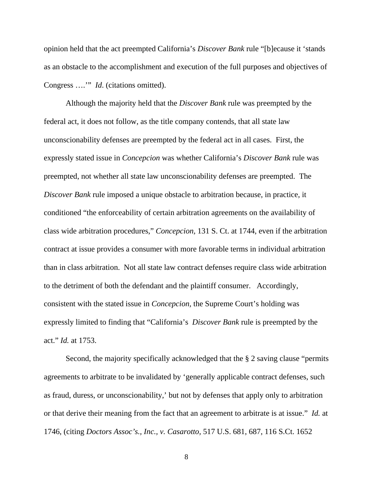opinion held that the act preempted California's *Discover Bank* rule "[b]ecause it 'stands as an obstacle to the accomplishment and execution of the full purposes and objectives of Congress ….'" *Id*. (citations omitted).

Although the majority held that the *Discover Bank* rule was preempted by the federal act, it does not follow, as the title company contends, that all state law unconscionability defenses are preempted by the federal act in all cases. First, the expressly stated issue in *Concepcion* was whether California's *Discover Bank* rule was preempted, not whether all state law unconscionability defenses are preempted. The *Discover Bank* rule imposed a unique obstacle to arbitration because, in practice, it conditioned "the enforceability of certain arbitration agreements on the availability of class wide arbitration procedures," *Concepcion,* 131 S. Ct. at 1744, even if the arbitration contract at issue provides a consumer with more favorable terms in individual arbitration than in class arbitration. Not all state law contract defenses require class wide arbitration to the detriment of both the defendant and the plaintiff consumer. Accordingly, consistent with the stated issue in *Concepcion,* the Supreme Court's holding was expressly limited to finding that "California's *Discover Bank* rule is preempted by the act." *Id.* at 1753.

Second, the majority specifically acknowledged that the § 2 saving clause "permits agreements to arbitrate to be invalidated by 'generally applicable contract defenses, such as fraud, duress, or unconscionability,' but not by defenses that apply only to arbitration or that derive their meaning from the fact that an agreement to arbitrate is at issue." *Id.* at 1746, (citing *Doctors Assoc's., Inc., v. Casarotto,* 517 U.S. 681, 687, 116 S.Ct. 1652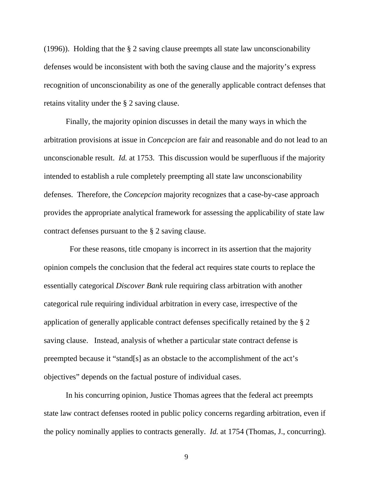(1996)). Holding that the § 2 saving clause preempts all state law unconscionability defenses would be inconsistent with both the saving clause and the majority's express recognition of unconscionability as one of the generally applicable contract defenses that retains vitality under the § 2 saving clause.

Finally, the majority opinion discusses in detail the many ways in which the arbitration provisions at issue in *Concepcion* are fair and reasonable and do not lead to an unconscionable result. *Id.* at 1753.This discussion would be superfluous if the majority intended to establish a rule completely preempting all state law unconscionability defenses. Therefore, the *Concepcion* majority recognizes that a case-by-case approach provides the appropriate analytical framework for assessing the applicability of state law contract defenses pursuant to the § 2 saving clause.

 For these reasons, title cmopany is incorrect in its assertion that the majority opinion compels the conclusion that the federal act requires state courts to replace the essentially categorical *Discover Bank* rule requiring class arbitration with another categorical rule requiring individual arbitration in every case, irrespective of the application of generally applicable contract defenses specifically retained by the § 2 saving clause. Instead, analysis of whether a particular state contract defense is preempted because it "stand[s] as an obstacle to the accomplishment of the act's objectives" depends on the factual posture of individual cases.

In his concurring opinion, Justice Thomas agrees that the federal act preempts state law contract defenses rooted in public policy concerns regarding arbitration, even if the policy nominally applies to contracts generally. *Id.* at 1754 (Thomas, J., concurring).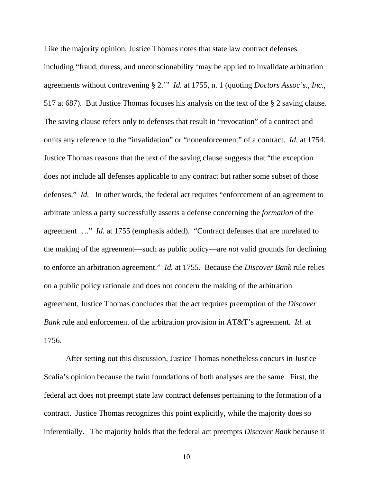Like the majority opinion, Justice Thomas notes that state law contract defenses including "fraud, duress, and unconscionability 'may be applied to invalidate arbitration agreements without contravening § 2.'" *Id.* at 1755, n. 1 (quoting *Doctors Assoc's., Inc.,*  517 at 687). But Justice Thomas focuses his analysis on the text of the § 2 saving clause. The saving clause refers only to defenses that result in "revocation" of a contract and omits any reference to the "invalidation" or "nonenforcement" of a contract. *Id.* at 1754. Justice Thomas reasons that the text of the saving clause suggests that "the exception does not include all defenses applicable to any contract but rather some subset of those defenses." *Id.* In other words, the federal act requires "enforcement of an agreement to arbitrate unless a party successfully asserts a defense concerning the *formation* of the agreement …." *Id.* at 1755 (emphasis added). "Contract defenses that are unrelated to the making of the agreement—such as public policy—are *not* valid grounds for declining to enforce an arbitration agreement." *Id.* at 1755. Because the *Discover Bank* rule relies on a public policy rationale and does not concern the making of the arbitration agreement, Justice Thomas concludes that the act requires preemption of the *Discover Bank* rule and enforcement of the arbitration provision in AT&T's agreement. *Id.* at 1756.

After setting out this discussion, Justice Thomas nonetheless concurs in Justice Scalia's opinion because the twin foundations of both analyses are the same. First, the federal act does not preempt state law contract defenses pertaining to the formation of a contract. Justice Thomas recognizes this point explicitly, while the majority does so inferentially. The majority holds that the federal act preempts *Discover Bank* because it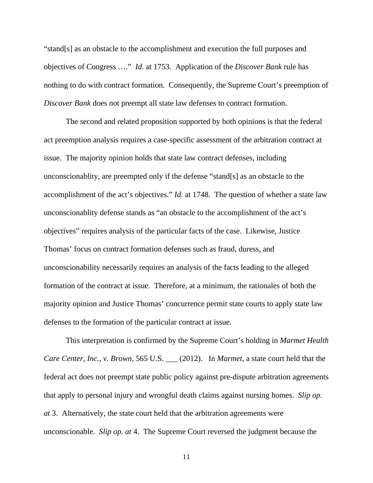"stand[s] as an obstacle to the accomplishment and execution the full purposes and objectives of Congress …." *Id.* at 1753. Application of the *Discover Bank* rule has nothing to do with contract formation. Consequently, the Supreme Court's preemption of *Discover Bank* does not preempt all state law defenses to contract formation.

The second and related proposition supported by both opinions is that the federal act preemption analysis requires a case-specific assessment of the arbitration contract at issue. The majority opinion holds that state law contract defenses, including unconscionablity, are preempted only if the defense "stand[s] as an obstacle to the accomplishment of the act's objectives." *Id.* at 1748. The question of whether a state law unconscionablity defense stands as "an obstacle to the accomplishment of the act's objectives" requires analysis of the particular facts of the case. Likewise, Justice Thomas' focus on contract formation defenses such as fraud, duress, and unconscionability necessarily requires an analysis of the facts leading to the alleged formation of the contract at issue. Therefore, at a minimum, the rationales of both the majority opinion and Justice Thomas' concurrence permit state courts to apply state law defenses to the formation of the particular contract at issue.

This interpretation is confirmed by the Supreme Court's holding in *Marmet Health Care Center, Inc., v. Brown*, 565 U.S. \_\_\_ (2012). In *Marmet*, a state court held that the federal act does not preempt state public policy against pre-dispute arbitration agreements that apply to personal injury and wrongful death claims against nursing homes. *Slip op. at* 3. Alternatively, the state court held that the arbitration agreements were unconscionable. *Slip op. at* 4. The Supreme Court reversed the judgment because the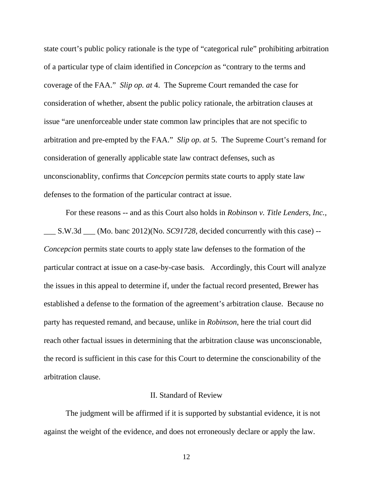state court's public policy rationale is the type of "categorical rule" prohibiting arbitration of a particular type of claim identified in *Concepcion* as "contrary to the terms and coverage of the FAA." *Slip op. at* 4. The Supreme Court remanded the case for consideration of whether, absent the public policy rationale, the arbitration clauses at issue "are unenforceable under state common law principles that are not specific to arbitration and pre-empted by the FAA." *Slip op. at* 5. The Supreme Court's remand for consideration of generally applicable state law contract defenses, such as unconscionablity, confirms that *Concepcion* permits state courts to apply state law defenses to the formation of the particular contract at issue.

For these reasons -- and as this Court also holds in *Robinson v. Title Lenders, Inc.,*  \_\_\_ S.W.3d \_\_\_ (Mo. banc 2012)(No. *SC91728*, decided concurrently with this case) -- *Concepcion* permits state courts to apply state law defenses to the formation of the particular contract at issue on a case-by-case basis. Accordingly, this Court will analyze the issues in this appeal to determine if, under the factual record presented, Brewer has established a defense to the formation of the agreement's arbitration clause. Because no party has requested remand, and because, unlike in *Robinson*, here the trial court did reach other factual issues in determining that the arbitration clause was unconscionable, the record is sufficient in this case for this Court to determine the conscionability of the arbitration clause.

### II. Standard of Review

 The judgment will be affirmed if it is supported by substantial evidence, it is not against the weight of the evidence, and does not erroneously declare or apply the law.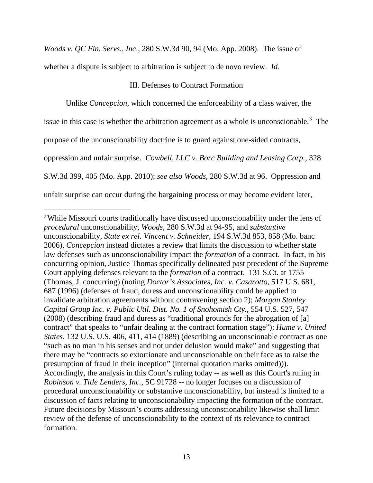*Woods v. QC Fin. Servs., Inc*., 280 S.W.3d 90, 94 (Mo. App. 2008). The issue of

whether a dispute is subject to arbitration is subject to de novo review. *Id.*

# III. Defenses to Contract Formation

Unlike *Concepcion*, which concerned the enforceability of a class waiver, the

issue in this case is whether the arbitration agreement as a whole is unconscionable.<sup>[3](#page-12-0)</sup> The

purpose of the unconscionability doctrine is to guard against one-sided contracts,

oppression and unfair surprise. *Cowbell, LLC v. Borc Building and Leasing Corp.*, 328

S.W.3d 399, 405 (Mo. App. 2010); *see also Woods,* 280 S.W.3d at 96. Oppression and

unfair surprise can occur during the bargaining process or may become evident later,

<span id="page-12-0"></span><sup>&</sup>lt;sup>3</sup> While Missouri courts traditionally have discussed unconscionability under the lens of *procedural* unconscionability, *Woods*, 280 S.W.3d at 94-95, and *substantive* unconscionability, *State ex rel. Vincent v. Schneider*, 194 S.W.3d 853, 858 (Mo. banc 2006), *Concepcion* instead dictates a review that limits the discussion to whether state law defenses such as unconscionability impact the *formation* of a contract. In fact, in his concurring opinion, Justice Thomas specifically delineated past precedent of the Supreme Court applying defenses relevant to the *formation* of a contract. 131 S.Ct. at 1755 (Thomas, J. concurring) (noting *Doctor's Associates, Inc. v. Casarotto*, 517 U.S. 681, 687 (1996) (defenses of fraud, duress and unconscionability could be applied to invalidate arbitration agreements without contravening section 2); *Morgan Stanley Capital Group Inc. v. Public Util. Dist. No. 1 of Snohomish Cty.*, 554 U.S. 527, 547 (2008) (describing fraud and duress as "traditional grounds for the abrogation of [a] contract" that speaks to "unfair dealing at the contract formation stage"); *Hume v. United States*, 132 U.S. U.S. 406, 411, 414 (1889) (describing an unconscionable contract as one "such as no man in his senses and not under delusion would make" and suggesting that there may be "contracts so extortionate and unconscionable on their face as to raise the presumption of fraud in their inception" (internal quotation marks omitted))). Accordingly, the analysis in this Court's ruling today -- as well as this Court's ruling in *Robinson v. Title Lenders, Inc.*, SC 91728 -- no longer focuses on a discussion of procedural unconscionability or substantive unconscionability, but instead is limited to a discussion of facts relating to unconscionability impacting the formation of the contract. Future decisions by Missouri's courts addressing unconscionability likewise shall limit review of the defense of unconscionability to the context of its relevance to contract formation.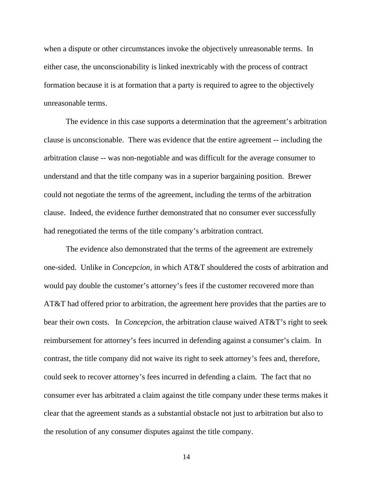when a dispute or other circumstances invoke the objectively unreasonable terms. In either case, the unconscionability is linked inextricably with the process of contract formation because it is at formation that a party is required to agree to the objectively unreasonable terms.

The evidence in this case supports a determination that the agreement's arbitration clause is unconscionable. There was evidence that the entire agreement -- including the arbitration clause -- was non-negotiable and was difficult for the average consumer to understand and that the title company was in a superior bargaining position. Brewer could not negotiate the terms of the agreement, including the terms of the arbitration clause. Indeed, the evidence further demonstrated that no consumer ever successfully had renegotiated the terms of the title company's arbitration contract.

The evidence also demonstrated that the terms of the agreement are extremely one-sided. Unlike in *Concepcion,* in which AT&T shouldered the costs of arbitration and would pay double the customer's attorney's fees if the customer recovered more than AT&T had offered prior to arbitration, the agreement here provides that the parties are to bear their own costs. In *Concepcion,* the arbitration clause waived AT&T's right to seek reimbursement for attorney's fees incurred in defending against a consumer's claim. In contrast, the title company did not waive its right to seek attorney's fees and, therefore, could seek to recover attorney's fees incurred in defending a claim. The fact that no consumer ever has arbitrated a claim against the title company under these terms makes it clear that the agreement stands as a substantial obstacle not just to arbitration but also to the resolution of any consumer disputes against the title company.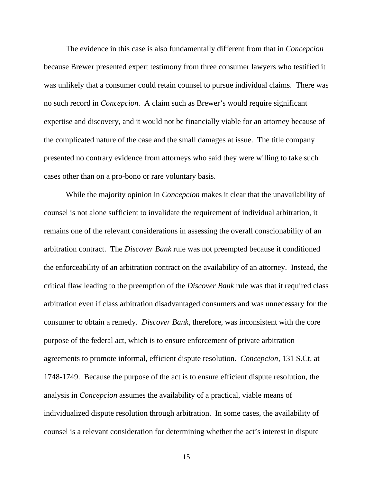The evidence in this case is also fundamentally different from that in *Concepcion*  because Brewer presented expert testimony from three consumer lawyers who testified it was unlikely that a consumer could retain counsel to pursue individual claims. There was no such record in *Concepcion.* A claim such as Brewer's would require significant expertise and discovery, and it would not be financially viable for an attorney because of the complicated nature of the case and the small damages at issue. The title company presented no contrary evidence from attorneys who said they were willing to take such cases other than on a pro-bono or rare voluntary basis.

While the majority opinion in *Concepcion* makes it clear that the unavailability of counsel is not alone sufficient to invalidate the requirement of individual arbitration, it remains one of the relevant considerations in assessing the overall conscionability of an arbitration contract. The *Discover Bank* rule was not preempted because it conditioned the enforceability of an arbitration contract on the availability of an attorney. Instead, the critical flaw leading to the preemption of the *Discover Bank* rule was that it required class arbitration even if class arbitration disadvantaged consumers and was unnecessary for the consumer to obtain a remedy. *Discover Bank,* therefore, was inconsistent with the core purpose of the federal act, which is to ensure enforcement of private arbitration agreements to promote informal, efficient dispute resolution. *Concepcion,* 131 S.Ct. at 1748-1749. Because the purpose of the act is to ensure efficient dispute resolution, the analysis in *Concepcion* assumes the availability of a practical, viable means of individualized dispute resolution through arbitration. In some cases, the availability of counsel is a relevant consideration for determining whether the act's interest in dispute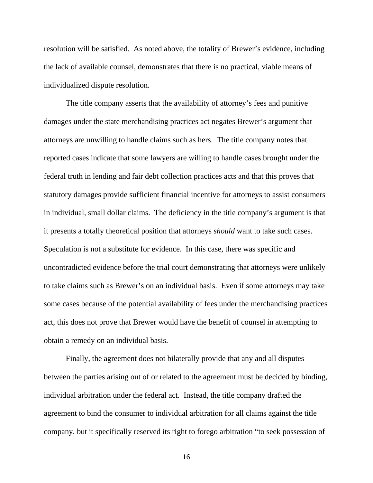resolution will be satisfied. As noted above, the totality of Brewer's evidence, including the lack of available counsel, demonstrates that there is no practical, viable means of individualized dispute resolution.

The title company asserts that the availability of attorney's fees and punitive damages under the state merchandising practices act negates Brewer's argument that attorneys are unwilling to handle claims such as hers. The title company notes that reported cases indicate that some lawyers are willing to handle cases brought under the federal truth in lending and fair debt collection practices acts and that this proves that statutory damages provide sufficient financial incentive for attorneys to assist consumers in individual, small dollar claims. The deficiency in the title company's argument is that it presents a totally theoretical position that attorneys *should* want to take such cases. Speculation is not a substitute for evidence. In this case, there was specific and uncontradicted evidence before the trial court demonstrating that attorneys were unlikely to take claims such as Brewer's on an individual basis. Even if some attorneys may take some cases because of the potential availability of fees under the merchandising practices act, this does not prove that Brewer would have the benefit of counsel in attempting to obtain a remedy on an individual basis.

Finally, the agreement does not bilaterally provide that any and all disputes between the parties arising out of or related to the agreement must be decided by binding, individual arbitration under the federal act. Instead, the title company drafted the agreement to bind the consumer to individual arbitration for all claims against the title company, but it specifically reserved its right to forego arbitration "to seek possession of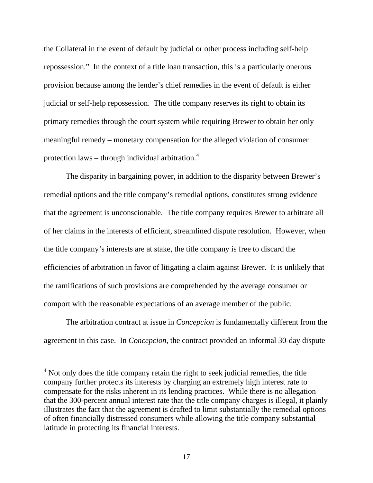the Collateral in the event of default by judicial or other process including self-help repossession." In the context of a title loan transaction, this is a particularly onerous provision because among the lender's chief remedies in the event of default is either judicial or self-help repossession. The title company reserves its right to obtain its primary remedies through the court system while requiring Brewer to obtain her only meaningful remedy – monetary compensation for the alleged violation of consumer protection laws – through individual arbitration. $4$ 

The disparity in bargaining power, in addition to the disparity between Brewer's remedial options and the title company's remedial options, constitutes strong evidence that the agreement is unconscionable. The title company requires Brewer to arbitrate all of her claims in the interests of efficient, streamlined dispute resolution. However, when the title company's interests are at stake, the title company is free to discard the efficiencies of arbitration in favor of litigating a claim against Brewer. It is unlikely that the ramifications of such provisions are comprehended by the average consumer or comport with the reasonable expectations of an average member of the public.

The arbitration contract at issue in *Concepcion* is fundamentally different from the agreement in this case. In *Concepcion*, the contract provided an informal 30-day dispute

<span id="page-16-0"></span> $4$  Not only does the title company retain the right to seek judicial remedies, the title company further protects its interests by charging an extremely high interest rate to compensate for the risks inherent in its lending practices. While there is no allegation that the 300-percent annual interest rate that the title company charges is illegal, it plainly illustrates the fact that the agreement is drafted to limit substantially the remedial options of often financially distressed consumers while allowing the title company substantial latitude in protecting its financial interests.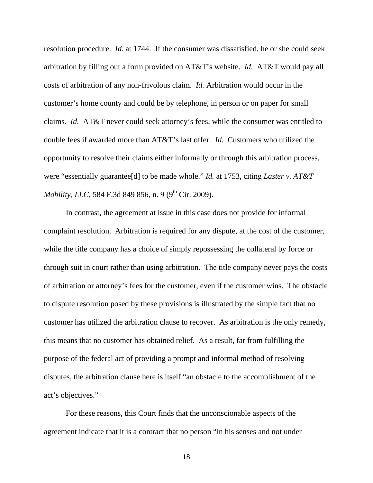resolution procedure. *Id.* at 1744. If the consumer was dissatisfied, he or she could seek arbitration by filling out a form provided on AT&T's website. *Id.* AT&T would pay all costs of arbitration of any non-frivolous claim. *Id.* Arbitration would occur in the customer's home county and could be by telephone, in person or on paper for small claims. *Id.* AT&T never could seek attorney's fees, while the consumer was entitled to double fees if awarded more than AT&T's last offer. *Id.* Customers who utilized the opportunity to resolve their claims either informally or through this arbitration process, were "essentially guarantee[d] to be made whole." *Id.* at 1753, citing *Laster v. AT&T Mobility, LLC, 584 F.3d 849 856, n. 9 (9<sup>th</sup> Cir. 2009).* 

In contrast, the agreement at issue in this case does not provide for informal complaint resolution. Arbitration is required for any dispute, at the cost of the customer, while the title company has a choice of simply repossessing the collateral by force or through suit in court rather than using arbitration. The title company never pays the costs of arbitration or attorney's fees for the customer, even if the customer wins. The obstacle to dispute resolution posed by these provisions is illustrated by the simple fact that no customer has utilized the arbitration clause to recover. As arbitration is the only remedy, this means that no customer has obtained relief. As a result, far from fulfilling the purpose of the federal act of providing a prompt and informal method of resolving disputes, the arbitration clause here is itself "an obstacle to the accomplishment of the act's objectives."

For these reasons, this Court finds that the unconscionable aspects of the agreement indicate that it is a contract that no person "in his senses and not under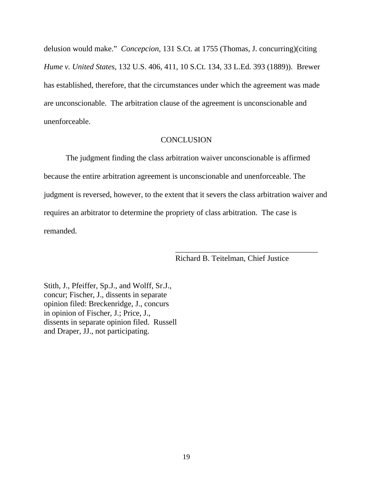delusion would make." *Concepcion,* 131 S.Ct. at 1755 (Thomas, J. concurring)(citing *Hume v. United States,* 132 U.S. 406, 411, 10 S.Ct. 134, 33 L.Ed. 393 (1889)). Brewer has established, therefore, that the circumstances under which the agreement was made are unconscionable. The arbitration clause of the agreement is unconscionable and unenforceable.

# **CONCLUSION**

 The judgment finding the class arbitration waiver unconscionable is affirmed because the entire arbitration agreement is unconscionable and unenforceable. The judgment is reversed, however, to the extent that it severs the class arbitration waiver and requires an arbitrator to determine the propriety of class arbitration. The case is remanded.

 $\frac{1}{\sqrt{2\pi}}$  , which is a set of the set of the set of the set of the set of the set of the set of the set of the set of the set of the set of the set of the set of the set of the set of the set of the set of the set of

Richard B. Teitelman, Chief Justice

Stith, J., Pfeiffer, Sp.J., and Wolff, Sr.J., concur; Fischer, J., dissents in separate opinion filed: Breckenridge, J., concurs in opinion of Fischer, J.; Price, J., dissents in separate opinion filed. Russell and Draper, JJ., not participating.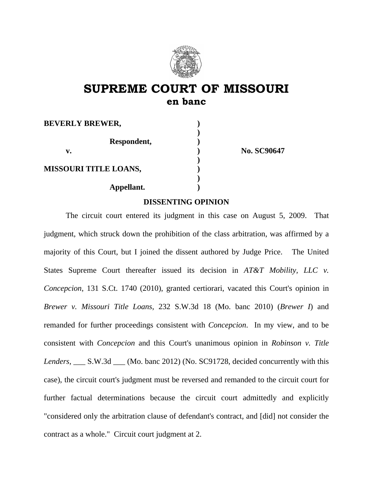

# **SUPREME COURT OF MISSOURI en banc**

| <b>BEVERLY BREWER,</b>       |  |
|------------------------------|--|
|                              |  |
| Respondent,                  |  |
| v.                           |  |
|                              |  |
| <b>MISSOURI TITLE LOANS,</b> |  |
|                              |  |
| Appellant.                   |  |
|                              |  |

**v. ) No. SC90647** 

# **DISSENTING OPINION**

 The circuit court entered its judgment in this case on August 5, 2009. That judgment, which struck down the prohibition of the class arbitration, was affirmed by a majority of this Court, but I joined the dissent authored by Judge Price. The United States Supreme Court thereafter issued its decision in *AT&T Mobility, LLC v. Concepcion*, 131 S.Ct. 1740 (2010), granted certiorari, vacated this Court's opinion in *Brewer v. Missouri Title Loans*, 232 S.W.3d 18 (Mo. banc 2010) (*Brewer I*) and remanded for further proceedings consistent with *Concepcion*. In my view, and to be consistent with *Concepcion* and this Court's unanimous opinion in *Robinson v. Title Lenders, \_\_\_* S.W.3d \_\_\_ (Mo. banc 2012) (No. SC91728, decided concurrently with this case), the circuit court's judgment must be reversed and remanded to the circuit court for further factual determinations because the circuit court admittedly and explicitly "considered only the arbitration clause of defendant's contract, and [did] not consider the contract as a whole." Circuit court judgment at 2.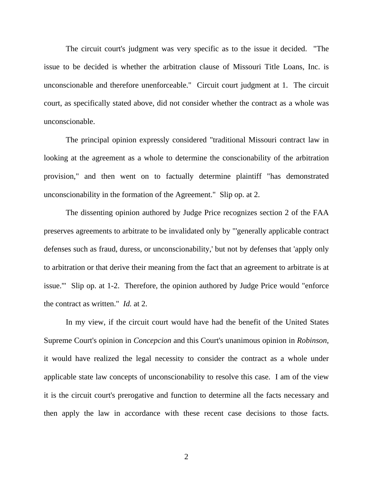The circuit court's judgment was very specific as to the issue it decided. "The issue to be decided is whether the arbitration clause of Missouri Title Loans, Inc. is unconscionable and therefore unenforceable." Circuit court judgment at 1. The circuit court, as specifically stated above, did not consider whether the contract as a whole was unconscionable.

 The principal opinion expressly considered "traditional Missouri contract law in looking at the agreement as a whole to determine the conscionability of the arbitration provision," and then went on to factually determine plaintiff "has demonstrated unconscionability in the formation of the Agreement." Slip op. at 2.

 The dissenting opinion authored by Judge Price recognizes section 2 of the FAA preserves agreements to arbitrate to be invalidated only by "'generally applicable contract defenses such as fraud, duress, or unconscionability,' but not by defenses that 'apply only to arbitration or that derive their meaning from the fact that an agreement to arbitrate is at issue.'" Slip op. at 1-2. Therefore, the opinion authored by Judge Price would "enforce the contract as written." *Id.* at 2.

 In my view, if the circuit court would have had the benefit of the United States Supreme Court's opinion in *Concepcion* and this Court's unanimous opinion in *Robinson*, it would have realized the legal necessity to consider the contract as a whole under applicable state law concepts of unconscionability to resolve this case. I am of the view it is the circuit court's prerogative and function to determine all the facts necessary and then apply the law in accordance with these recent case decisions to those facts.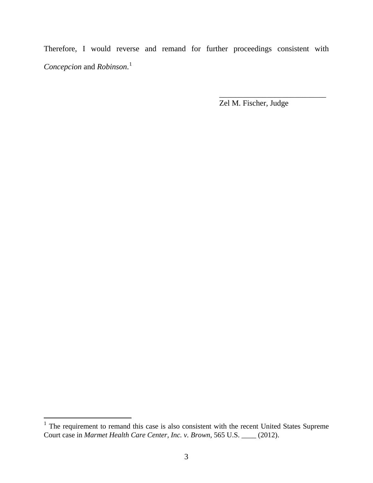Therefore, I would reverse and remand for further proceedings consistent with *Concepcion* and *Robinson*. [1](#page-21-0)

 $\frac{1}{\sqrt{2}}$  ,  $\frac{1}{\sqrt{2}}$  ,  $\frac{1}{\sqrt{2}}$  ,  $\frac{1}{\sqrt{2}}$  ,  $\frac{1}{\sqrt{2}}$  ,  $\frac{1}{\sqrt{2}}$  ,  $\frac{1}{\sqrt{2}}$  ,  $\frac{1}{\sqrt{2}}$  ,  $\frac{1}{\sqrt{2}}$  ,  $\frac{1}{\sqrt{2}}$  ,  $\frac{1}{\sqrt{2}}$  ,  $\frac{1}{\sqrt{2}}$  ,  $\frac{1}{\sqrt{2}}$  ,  $\frac{1}{\sqrt{2}}$  ,  $\frac{1}{\sqrt{2}}$ 

Zel M. Fischer, Judge

<span id="page-21-0"></span> $1$  The requirement to remand this case is also consistent with the recent United States Supreme Court case in *Marmet Health Care Center, Inc. v. Brown*, 565 U.S. \_\_\_\_ (2012).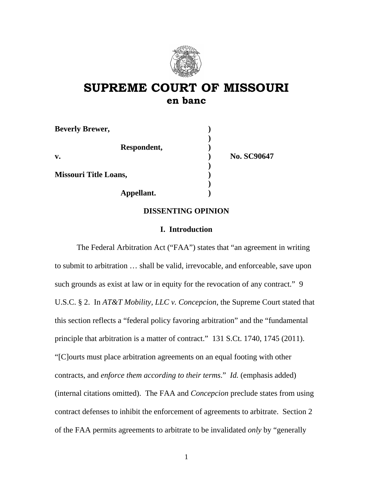

# **SUPREME COURT OF MISSOURI en banc**

| <b>Beverly Brewer,</b>       |                    |  |
|------------------------------|--------------------|--|
| Respondent,                  |                    |  |
| V.                           | <b>No. SC90647</b> |  |
| <b>Missouri Title Loans,</b> |                    |  |
| Appellant.                   |                    |  |

# **DISSENTING OPINION**

#### **I. Introduction**

The Federal Arbitration Act ("FAA") states that "an agreement in writing to submit to arbitration … shall be valid, irrevocable, and enforceable, save upon such grounds as exist at law or in equity for the revocation of any contract." 9 U.S.C. § 2. In *AT&T Mobility, LLC v. Concepcion*, the Supreme Court stated that this section reflects a "federal policy favoring arbitration" and the "fundamental principle that arbitration is a matter of contract." 131 S.Ct. 1740, 1745 (2011). "[C]ourts must place arbitration agreements on an equal footing with other contracts, and *enforce them according to their terms*." *Id.* (emphasis added) (internal citations omitted). The FAA and *Concepcion* preclude states from using contract defenses to inhibit the enforcement of agreements to arbitrate. Section 2 of the FAA permits agreements to arbitrate to be invalidated *only* by "generally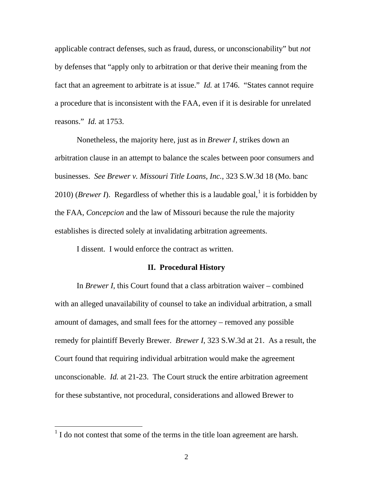applicable contract defenses, such as fraud, duress, or unconscionability" but *not* by defenses that "apply only to arbitration or that derive their meaning from the fact that an agreement to arbitrate is at issue." *Id.* at 1746. "States cannot require a procedure that is inconsistent with the FAA, even if it is desirable for unrelated reasons." *Id.* at 1753.

Nonetheless, the majority here, just as in *Brewer I*, strikes down an arbitration clause in an attempt to balance the scales between poor consumers and businesses. *See Brewer v. Missouri Title Loans, Inc.*, 323 S.W.3d 18 (Mo. banc 20[1](#page-23-0)0) (*Brewer I*). Regardless of whether this is a laudable goal,<sup>1</sup> it is forbidden by the FAA, *Concepcion* and the law of Missouri because the rule the majority establishes is directed solely at invalidating arbitration agreements.

I dissent. I would enforce the contract as written.

#### **II. Procedural History**

 In *Brewer I*, this Court found that a class arbitration waiver – combined with an alleged unavailability of counsel to take an individual arbitration, a small amount of damages, and small fees for the attorney – removed any possible remedy for plaintiff Beverly Brewer. *Brewer I*, 323 S.W.3d at 21. As a result, the Court found that requiring individual arbitration would make the agreement unconscionable. *Id.* at 21-23. The Court struck the entire arbitration agreement for these substantive, not procedural, considerations and allowed Brewer to

<span id="page-23-0"></span> $<sup>1</sup>$  I do not contest that some of the terms in the title loan agreement are harsh.</sup>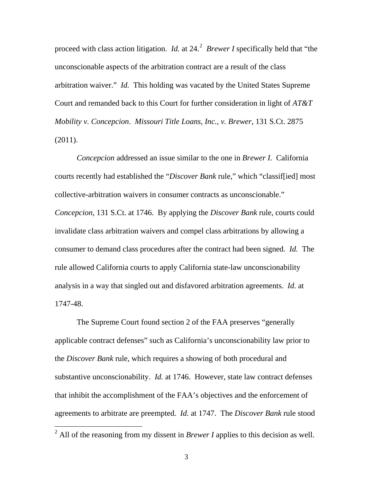proceed with class action litigation. *Id.* at  $24<sup>2</sup>$  $24<sup>2</sup>$  *Brewer I* specifically held that "the unconscionable aspects of the arbitration contract are a result of the class arbitration waiver." *Id.* This holding was vacated by the United States Supreme Court and remanded back to this Court for further consideration in light of *AT&T Mobility v. Concepcion*. *Missouri Title Loans, Inc., v. Brewer*, 131 S.Ct. 2875 (2011).

*Concepcion* addressed an issue similar to the one in *Brewer I*. California courts recently had established the "*Discover Bank* rule," which "classif[ied] most collective-arbitration waivers in consumer contracts as unconscionable." *Concepcion*, 131 S.Ct. at 1746. By applying the *Discover Bank* rule, courts could invalidate class arbitration waivers and compel class arbitrations by allowing a consumer to demand class procedures after the contract had been signed. *Id.* The rule allowed California courts to apply California state-law unconscionability analysis in a way that singled out and disfavored arbitration agreements. *Id.* at 1747-48.

The Supreme Court found section 2 of the FAA preserves "generally applicable contract defenses" such as California's unconscionability law prior to the *Discover Bank* rule, which requires a showing of both procedural and substantive unconscionability. *Id.* at 1746. However, state law contract defenses that inhibit the accomplishment of the FAA's objectives and the enforcement of agreements to arbitrate are preempted. *Id.* at 1747. The *Discover Bank* rule stood

<span id="page-24-0"></span><sup>&</sup>lt;sup>2</sup> All of the reasoning from my dissent in *Brewer I* applies to this decision as well.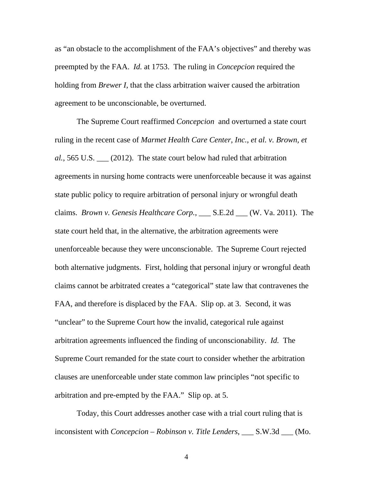as "an obstacle to the accomplishment of the FAA's objectives" and thereby was preempted by the FAA. *Id.* at 1753. The ruling in *Concepcion* required the holding from *Brewer I*, that the class arbitration waiver caused the arbitration agreement to be unconscionable, be overturned.

The Supreme Court reaffirmed *Concepcion* and overturned a state court ruling in the recent case of *Marmet Health Care Center, Inc., et al. v. Brown, et al.*, 565 U.S. \_\_\_ (2012). The state court below had ruled that arbitration agreements in nursing home contracts were unenforceable because it was against state public policy to require arbitration of personal injury or wrongful death claims. *Brown v. Genesis Healthcare Corp.*, \_\_\_ S.E.2d \_\_\_ (W. Va. 2011). The state court held that, in the alternative, the arbitration agreements were unenforceable because they were unconscionable. The Supreme Court rejected both alternative judgments. First, holding that personal injury or wrongful death claims cannot be arbitrated creates a "categorical" state law that contravenes the FAA, and therefore is displaced by the FAA. Slip op. at 3. Second, it was "unclear" to the Supreme Court how the invalid, categorical rule against arbitration agreements influenced the finding of unconscionability. *Id.* The Supreme Court remanded for the state court to consider whether the arbitration clauses are unenforceable under state common law principles "not specific to arbitration and pre-empted by the FAA." Slip op. at 5.

Today, this Court addresses another case with a trial court ruling that is inconsistent with *Concepcion* – *Robinson v. Title Lenders*, \_\_\_ S.W.3d \_\_\_ (Mo.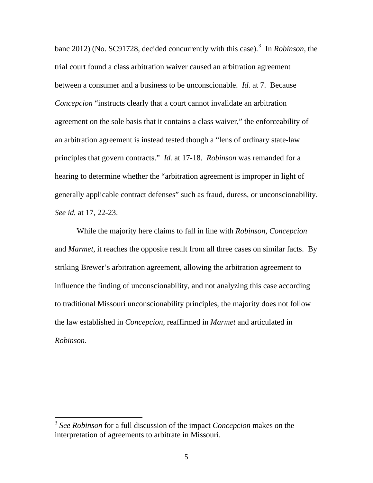banc 2012) (No. SC91728, decided concurrently with this case).<sup>[3](#page-26-0)</sup> In *Robinson*, the trial court found a class arbitration waiver caused an arbitration agreement between a consumer and a business to be unconscionable. *Id.* at 7. Because *Concepcion* "instructs clearly that a court cannot invalidate an arbitration agreement on the sole basis that it contains a class waiver," the enforceability of an arbitration agreement is instead tested though a "lens of ordinary state-law principles that govern contracts." *Id.* at 17-18. *Robinson* was remanded for a hearing to determine whether the "arbitration agreement is improper in light of generally applicable contract defenses" such as fraud, duress, or unconscionability. *See id.* at 17, 22-23.

While the majority here claims to fall in line with *Robinson*, *Concepcion* and *Marmet*, it reaches the opposite result from all three cases on similar facts. By striking Brewer's arbitration agreement, allowing the arbitration agreement to influence the finding of unconscionability, and not analyzing this case according to traditional Missouri unconscionability principles, the majority does not follow the law established in *Concepcion*, reaffirmed in *Marmet* and articulated in *Robinson*.

<span id="page-26-0"></span><sup>3</sup> *See Robinson* for a full discussion of the impact *Concepcion* makes on the interpretation of agreements to arbitrate in Missouri.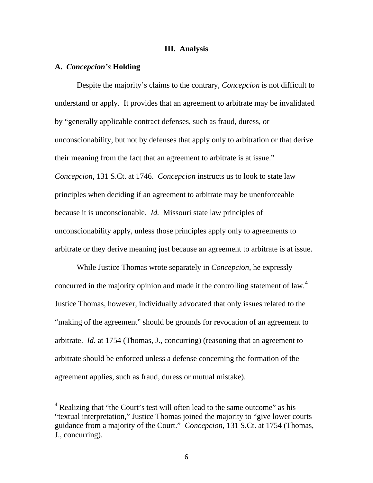#### **III. Analysis**

### **A.** *Concepcion's* **Holding**

 $\overline{a}$ 

Despite the majority's claims to the contrary, *Concepcion* is not difficult to understand or apply. It provides that an agreement to arbitrate may be invalidated by "generally applicable contract defenses, such as fraud, duress, or unconscionability, but not by defenses that apply only to arbitration or that derive their meaning from the fact that an agreement to arbitrate is at issue." *Concepcion*, 131 S.Ct. at 1746. *Concepcion* instructs us to look to state law principles when deciding if an agreement to arbitrate may be unenforceable because it is unconscionable. *Id.* Missouri state law principles of unconscionability apply, unless those principles apply only to agreements to arbitrate or they derive meaning just because an agreement to arbitrate is at issue.

While Justice Thomas wrote separately in *Concepcion*, he expressly concurred in the majority opinion and made it the controlling statement of law.<sup>[4](#page-27-0)</sup> Justice Thomas, however, individually advocated that only issues related to the "making of the agreement" should be grounds for revocation of an agreement to arbitrate. *Id.* at 1754 (Thomas, J., concurring) (reasoning that an agreement to arbitrate should be enforced unless a defense concerning the formation of the agreement applies, such as fraud, duress or mutual mistake).

<span id="page-27-0"></span><sup>&</sup>lt;sup>4</sup> Realizing that "the Court's test will often lead to the same outcome" as his "textual interpretation," Justice Thomas joined the majority to "give lower courts guidance from a majority of the Court." *Concepcion*, 131 S.Ct. at 1754 (Thomas, J., concurring).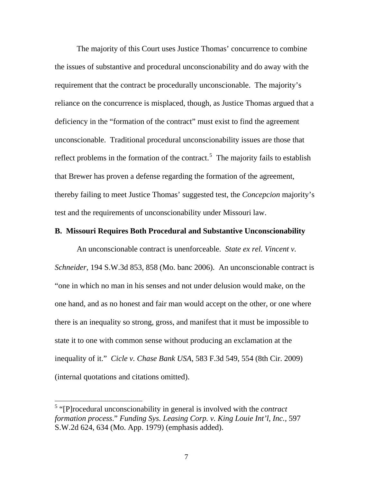The majority of this Court uses Justice Thomas' concurrence to combine the issues of substantive and procedural unconscionability and do away with the requirement that the contract be procedurally unconscionable. The majority's reliance on the concurrence is misplaced, though, as Justice Thomas argued that a deficiency in the "formation of the contract" must exist to find the agreement unconscionable. Traditional procedural unconscionability issues are those that reflect problems in the formation of the contract.<sup>[5](#page-28-0)</sup> The majority fails to establish that Brewer has proven a defense regarding the formation of the agreement, thereby failing to meet Justice Thomas' suggested test, the *Concepcion* majority's test and the requirements of unconscionability under Missouri law.

### **B. Missouri Requires Both Procedural and Substantive Unconscionability**

An unconscionable contract is unenforceable. *State ex rel. Vincent v. Schneider,* 194 S.W.3d 853, 858 (Mo. banc 2006). An unconscionable contract is "one in which no man in his senses and not under delusion would make, on the one hand, and as no honest and fair man would accept on the other, or one where there is an inequality so strong, gross, and manifest that it must be impossible to state it to one with common sense without producing an exclamation at the inequality of it." *Cicle v. Chase Bank USA*, 583 F.3d 549, 554 (8th Cir. 2009) (internal quotations and citations omitted).

<span id="page-28-0"></span><sup>&</sup>lt;sup>5</sup> "[P]rocedural unconscionability in general is involved with the *contract formation process*." *Funding Sys. Leasing Corp. v. King Louie Int'l, Inc.,* 597 S.W.2d 624, 634 (Mo. App. 1979) (emphasis added).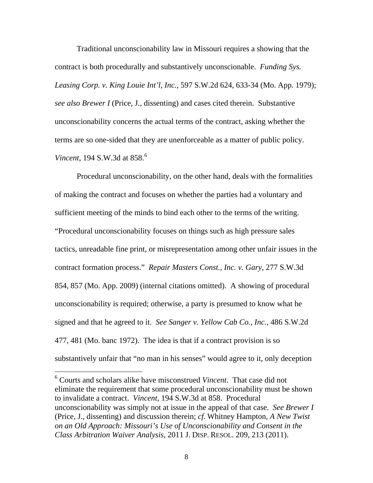Traditional unconscionability law in Missouri requires a showing that the contract is both procedurally and substantively unconscionable. *Funding Sys. Leasing Corp. v. King Louie Int'l, Inc.*, 597 S.W.2d 624, 633-34 (Mo. App. 1979); *see also Brewer I* (Price, J., dissenting) and cases cited therein. Substantive unconscionability concerns the actual terms of the contract, asking whether the terms are so one-sided that they are unenforceable as a matter of public policy. *Vincent,* 194 S.W.3d at 858.<sup>[6](#page-29-0)</sup>

Procedural unconscionability, on the other hand, deals with the formalities of making the contract and focuses on whether the parties had a voluntary and sufficient meeting of the minds to bind each other to the terms of the writing. "Procedural unconscionability focuses on things such as high pressure sales tactics, unreadable fine print, or misrepresentation among other unfair issues in the contract formation process." *Repair Masters Const., Inc. v. Gary*, 277 S.W.3d 854, 857 (Mo. App. 2009) (internal citations omitted). A showing of procedural unconscionability is required; otherwise, a party is presumed to know what he signed and that he agreed to it. *See Sanger v. Yellow Cab Co., Inc.*, 486 S.W.2d 477, 481 (Mo. banc 1972). The idea is that if a contract provision is so substantively unfair that "no man in his senses" would agree to it, only deception

<span id="page-29-0"></span><sup>6</sup> Courts and scholars alike have misconstrued *Vincent*. That case did not eliminate the requirement that some procedural unconscionability must be shown to invalidate a contract. *Vincent*, 194 S.W.3d at 858. Procedural unconscionability was simply not at issue in the appeal of that case. *See Brewer I*  (Price, J., dissenting) and discussion therein; *cf.* Whitney Hampton, *A New Twist on an Old Approach: Missouri's Use of Unconscionability and Consent in the Class Arbitration Waiver Analysis*, 2011 J. DISP. RESOL. 209, 213 (2011).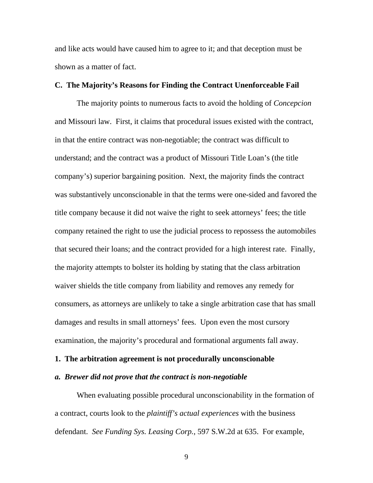and like acts would have caused him to agree to it; and that deception must be shown as a matter of fact.

#### **C. The Majority's Reasons for Finding the Contract Unenforceable Fail**

 The majority points to numerous facts to avoid the holding of *Concepcion* and Missouri law. First, it claims that procedural issues existed with the contract, in that the entire contract was non-negotiable; the contract was difficult to understand; and the contract was a product of Missouri Title Loan's (the title company's) superior bargaining position. Next, the majority finds the contract was substantively unconscionable in that the terms were one-sided and favored the title company because it did not waive the right to seek attorneys' fees; the title company retained the right to use the judicial process to repossess the automobiles that secured their loans; and the contract provided for a high interest rate. Finally, the majority attempts to bolster its holding by stating that the class arbitration waiver shields the title company from liability and removes any remedy for consumers, as attorneys are unlikely to take a single arbitration case that has small damages and results in small attorneys' fees. Upon even the most cursory examination, the majority's procedural and formational arguments fall away.

# **1. The arbitration agreement is not procedurally unconscionable**

#### *a. Brewer did not prove that the contract is non-negotiable*

When evaluating possible procedural unconscionability in the formation of a contract, courts look to the *plaintiff's actual experiences* with the business defendant. *See Funding Sys. Leasing Corp.*, 597 S.W.2d at 635. For example,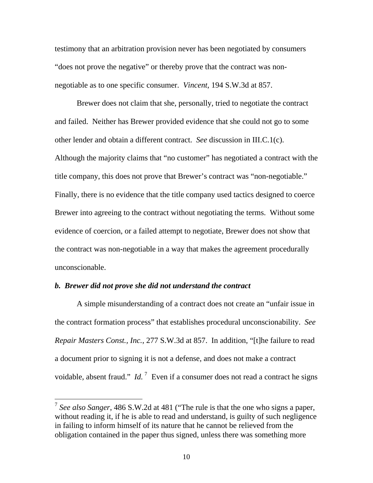testimony that an arbitration provision never has been negotiated by consumers "does not prove the negative" or thereby prove that the contract was nonnegotiable as to one specific consumer. *Vincent*, 194 S.W.3d at 857.

Brewer does not claim that she, personally, tried to negotiate the contract and failed. Neither has Brewer provided evidence that she could not go to some other lender and obtain a different contract. *See* discussion in III.C.1(c). Although the majority claims that "no customer" has negotiated a contract with the title company, this does not prove that Brewer's contract was "non-negotiable." Finally, there is no evidence that the title company used tactics designed to coerce Brewer into agreeing to the contract without negotiating the terms. Without some evidence of coercion, or a failed attempt to negotiate, Brewer does not show that the contract was non-negotiable in a way that makes the agreement procedurally unconscionable.

## *b. Brewer did not prove she did not understand the contract*

 $\overline{a}$ 

A simple misunderstanding of a contract does not create an "unfair issue in the contract formation process" that establishes procedural unconscionability. *See Repair Masters Const., Inc.*, 277 S.W.3d at 857. In addition, "[t]he failure to read a document prior to signing it is not a defense, and does not make a contract voidable, absent fraud."  $Id.$ <sup>[7](#page-31-0)</sup> Even if a consumer does not read a contract he signs

<span id="page-31-0"></span><sup>7</sup> *See also Sanger*, 486 S.W.2d at 481 ("The rule is that the one who signs a paper, without reading it, if he is able to read and understand, is guilty of such negligence in failing to inform himself of its nature that he cannot be relieved from the obligation contained in the paper thus signed, unless there was something more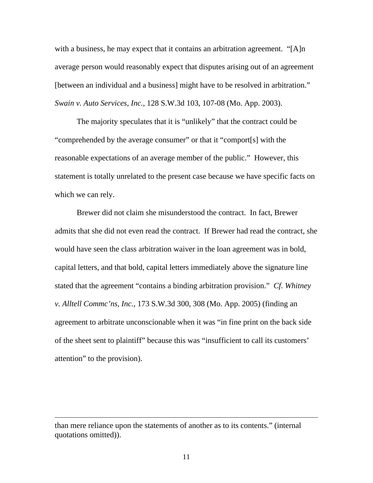with a business, he may expect that it contains an arbitration agreement. "[A]n average person would reasonably expect that disputes arising out of an agreement [between an individual and a business] might have to be resolved in arbitration." *Swain v. Auto Services, Inc.*, 128 S.W.3d 103, 107-08 (Mo. App. 2003).

The majority speculates that it is "unlikely" that the contract could be "comprehended by the average consumer" or that it "comport[s] with the reasonable expectations of an average member of the public." However, this statement is totally unrelated to the present case because we have specific facts on which we can rely.

Brewer did not claim she misunderstood the contract. In fact, Brewer admits that she did not even read the contract. If Brewer had read the contract, she would have seen the class arbitration waiver in the loan agreement was in bold, capital letters, and that bold, capital letters immediately above the signature line stated that the agreement "contains a binding arbitration provision." *Cf. Whitney v. Alltell Commc'ns, Inc.*, 173 S.W.3d 300, 308 (Mo. App. 2005) (finding an agreement to arbitrate unconscionable when it was "in fine print on the back side of the sheet sent to plaintiff" because this was "insufficient to call its customers' attention" to the provision).

than mere reliance upon the statements of another as to its contents." (internal quotations omitted)).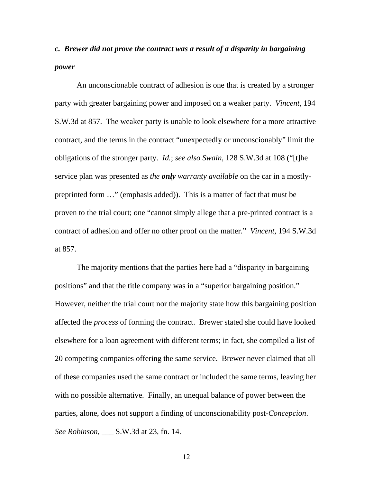# *c. Brewer did not prove the contract was a result of a disparity in bargaining power*

An unconscionable contract of adhesion is one that is created by a stronger party with greater bargaining power and imposed on a weaker party. *Vincent*, 194 S.W.3d at 857. The weaker party is unable to look elsewhere for a more attractive contract, and the terms in the contract "unexpectedly or unconscionably" limit the obligations of the stronger party. *Id.*; *see also Swain*, 128 S.W.3d at 108 ("[t]he service plan was presented as *the only warranty available* on the car in a mostlypreprinted form …" (emphasis added)). This is a matter of fact that must be proven to the trial court; one "cannot simply allege that a pre-printed contract is a contract of adhesion and offer no other proof on the matter." *Vincent*, 194 S.W.3d at 857.

The majority mentions that the parties here had a "disparity in bargaining positions" and that the title company was in a "superior bargaining position." However, neither the trial court nor the majority state how this bargaining position affected the *process* of forming the contract. Brewer stated she could have looked elsewhere for a loan agreement with different terms; in fact, she compiled a list of 20 competing companies offering the same service. Brewer never claimed that all of these companies used the same contract or included the same terms, leaving her with no possible alternative. Finally, an unequal balance of power between the parties, alone, does not support a finding of unconscionability post-*Concepcion*. *See Robinson*, \_\_\_ S.W.3d at 23, fn. 14.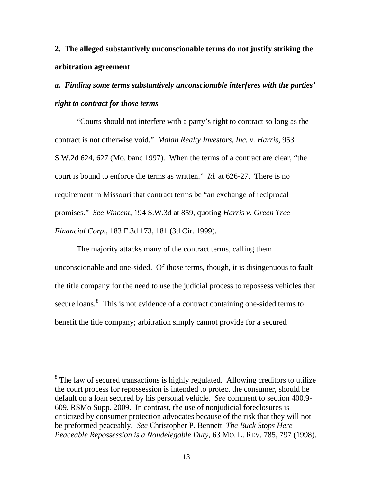# **2. The alleged substantively unconscionable terms do not justify striking the arbitration agreement**

# *a. Finding some terms substantively unconscionable interferes with the parties' right to contract for those terms*

"Courts should not interfere with a party's right to contract so long as the contract is not otherwise void." *Malan Realty Investors, Inc. v. Harris*, 953 S.W.2d 624, 627 (Mo. banc 1997). When the terms of a contract are clear, "the court is bound to enforce the terms as written." *Id.* at 626-27. There is no requirement in Missouri that contract terms be "an exchange of reciprocal promises." *See Vincent*, 194 S.W.3d at 859, quoting *Harris v. Green Tree Financial Corp.*, 183 F.3d 173, 181 (3d Cir. 1999).

The majority attacks many of the contract terms, calling them unconscionable and one-sided. Of those terms, though, it is disingenuous to fault the title company for the need to use the judicial process to repossess vehicles that secure loans.<sup>[8](#page-34-0)</sup> This is not evidence of a contract containing one-sided terms to benefit the title company; arbitration simply cannot provide for a secured

<span id="page-34-0"></span> $8$  The law of secured transactions is highly regulated. Allowing creditors to utilize the court process for repossession is intended to protect the consumer, should he default on a loan secured by his personal vehicle. *See* comment to section 400.9- 609, RSMo Supp. 2009. In contrast, the use of nonjudicial foreclosures is criticized by consumer protection advocates because of the risk that they will not be preformed peaceably. *See* Christopher P. Bennett, *The Buck Stops Here – Peaceable Repossession is a Nondelegable Duty*, 63 MO. L. REV. 785, 797 (1998).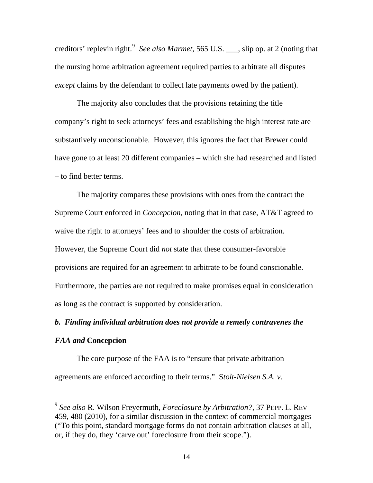creditors' replevin right.<sup>[9](#page-35-0)</sup> See also Marmet, 565 U.S. <sub>\_\_\_</sub>, slip op. at 2 (noting that the nursing home arbitration agreement required parties to arbitrate all disputes *except* claims by the defendant to collect late payments owed by the patient).

The majority also concludes that the provisions retaining the title company's right to seek attorneys' fees and establishing the high interest rate are substantively unconscionable. However, this ignores the fact that Brewer could have gone to at least 20 different companies – which she had researched and listed – to find better terms.

The majority compares these provisions with ones from the contract the Supreme Court enforced in *Concepcion*, noting that in that case, AT&T agreed to waive the right to attorneys' fees and to shoulder the costs of arbitration. However, the Supreme Court did *not* state that these consumer-favorable provisions are required for an agreement to arbitrate to be found conscionable. Furthermore, the parties are not required to make promises equal in consideration as long as the contract is supported by consideration.

### *b. Finding individual arbitration does not provide a remedy contravenes the*

## *FAA and* **Concepcion**

 $\overline{a}$ 

The core purpose of the FAA is to "ensure that private arbitration agreements are enforced according to their terms." S*tolt-Nielsen S.A. v.* 

<span id="page-35-0"></span><sup>9</sup> *See also* R. Wilson Freyermuth, *Foreclosure by Arbitration?*, 37 PEPP. L. REV 459, 480 (2010), for a similar discussion in the context of commercial mortgages ("To this point, standard mortgage forms do not contain arbitration clauses at all, or, if they do, they 'carve out' foreclosure from their scope.").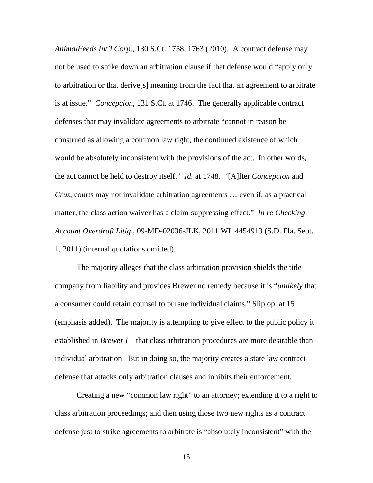*AnimalFeeds Int'l Corp.*, 130 S.Ct. 1758, 1763 (2010). A contract defense may not be used to strike down an arbitration clause if that defense would "apply only to arbitration or that derive[s] meaning from the fact that an agreement to arbitrate is at issue." *Concepcion*, 131 S.Ct. at 1746. The generally applicable contract defenses that may invalidate agreements to arbitrate "cannot in reason be construed as allowing a common law right, the continued existence of which would be absolutely inconsistent with the provisions of the act. In other words, the act cannot be held to destroy itself." *Id.* at 1748. "[A]fter *Concepcion* and *Cruz*, courts may not invalidate arbitration agreements … even if, as a practical matter, the class action waiver has a claim-suppressing effect." *In re Checking Account Overdraft Litig.*, 09-MD-02036-JLK, 2011 WL 4454913 (S.D. Fla. Sept. 1, 2011) (internal quotations omitted).

The majority alleges that the class arbitration provision shields the title company from liability and provides Brewer no remedy because it is "*unlikely* that a consumer could retain counsel to pursue individual claims." Slip op. at 15 (emphasis added). The majority is attempting to give effect to the public policy it established in *Brewer I* – that class arbitration procedures are more desirable than individual arbitration. But in doing so, the majority creates a state law contract defense that attacks only arbitration clauses and inhibits their enforcement.

Creating a new "common law right" to an attorney; extending it to a right to class arbitration proceedings; and then using those two new rights as a contract defense just to strike agreements to arbitrate is "absolutely inconsistent" with the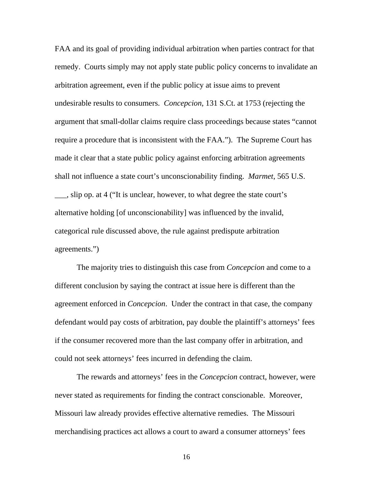FAA and its goal of providing individual arbitration when parties contract for that remedy. Courts simply may not apply state public policy concerns to invalidate an arbitration agreement, even if the public policy at issue aims to prevent undesirable results to consumers. *Concepcion*, 131 S.Ct. at 1753 (rejecting the argument that small-dollar claims require class proceedings because states "cannot require a procedure that is inconsistent with the FAA."). The Supreme Court has made it clear that a state public policy against enforcing arbitration agreements shall not influence a state court's unconscionability finding. *Marmet*, 565 U.S. \_\_\_, slip op. at 4 ("It is unclear, however, to what degree the state court's alternative holding [of unconscionability] was influenced by the invalid, categorical rule discussed above, the rule against predispute arbitration agreements.")

The majority tries to distinguish this case from *Concepcion* and come to a different conclusion by saying the contract at issue here is different than the agreement enforced in *Concepcion*. Under the contract in that case, the company defendant would pay costs of arbitration, pay double the plaintiff's attorneys' fees if the consumer recovered more than the last company offer in arbitration, and could not seek attorneys' fees incurred in defending the claim.

The rewards and attorneys' fees in the *Concepcion* contract, however, were never stated as requirements for finding the contract conscionable. Moreover, Missouri law already provides effective alternative remedies. The Missouri merchandising practices act allows a court to award a consumer attorneys' fees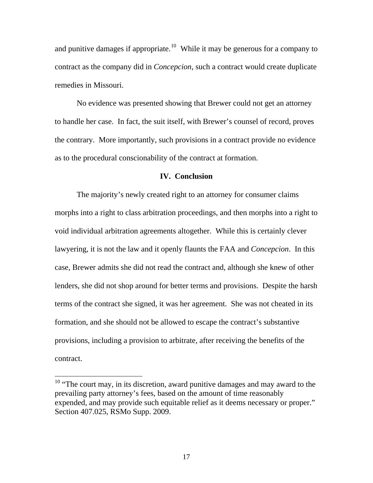and punitive damages if appropriate.<sup>[10](#page-38-0)</sup> While it may be generous for a company to contract as the company did in *Concepcion*, such a contract would create duplicate remedies in Missouri.

No evidence was presented showing that Brewer could not get an attorney to handle her case. In fact, the suit itself, with Brewer's counsel of record, proves the contrary. More importantly, such provisions in a contract provide no evidence as to the procedural conscionability of the contract at formation.

#### **IV. Conclusion**

The majority's newly created right to an attorney for consumer claims morphs into a right to class arbitration proceedings, and then morphs into a right to void individual arbitration agreements altogether. While this is certainly clever lawyering, it is not the law and it openly flaunts the FAA and *Concepcion*. In this case, Brewer admits she did not read the contract and, although she knew of other lenders, she did not shop around for better terms and provisions. Despite the harsh terms of the contract she signed, it was her agreement. She was not cheated in its formation, and she should not be allowed to escape the contract's substantive provisions, including a provision to arbitrate, after receiving the benefits of the contract.

<span id="page-38-0"></span> $10$  "The court may, in its discretion, award punitive damages and may award to the prevailing party attorney's fees, based on the amount of time reasonably expended, and may provide such equitable relief as it deems necessary or proper." Section 407.025, RSMo Supp. 2009.